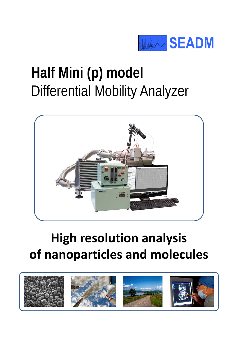

### **Half Mini (p) model**  Differential Mobility Analyzer



### **High resolution analysis of nanoparticles and molecules**

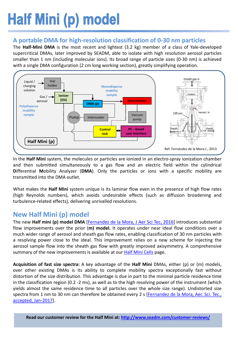## Half Mini (p) model

#### **A portable DMA for high-resolution classification of 0-30 nm particles**

The **Half-Mini DMA** is the most recent and lightest (3.2 kg) member of a class of Yale-developed supercritical DMAs, later improved by SEADM, able to isolate with high resolution aerosol particles smaller than 1 nm (including molecular ions). Its broad range of particle sizes (0-30 nm) is achieved with a single DMA configuration (2 cm long working section), greatly simplifying operation.



In the **Half Mini** system, the molecules or particles are ionized in an electro-spray ionization chamber and then submitted simultaneously to a gas flow and an electric field within the cylindrical **D**ifferential **M**obility Analyzer (**DMA**). Only the particles or ions with a specific mobility are transmitted into the DMA outlet.

What makes the **Half Mini** system unique is its laminar flow even in the presence of high flow rates (high Reynolds numbers), which avoids undesirable effects (such as diffusion broadening and turbulence-related effects), delivering unrivalled resolutions.

#### **New Half Mini (p) model**

The new **Half mini (p) model DMA** [\[Fernandez](http://www.seadm.com/wp-content/uploads/2017/01/expanded-size-range-of-high-resolution-nanodmas.pdf) de la Mora, J Aer Sci Tec, 2016] introduces substantial flow improvements over the prior (**m) model.** It operates under near ideal flow conditions over a much wider range of aerosol and sheath gas flow rates, enabling classification of 30 nm particles with a resolving power close to the ideal. This improvement relies on a new scheme for injecting the aerosol sample flow into the sheath gas flow with greatly improved axisymmetry. A comprehensive summary of the new improvements is available at our **Half Mini [Cells](http://www.seadm.com/products/technological-modules/separation/cylindrical-dma-cell-half-mini/)** page.

**Acquisition of fast size spectra:** A key advantage of the **Half Mini** DMAs, either (p) or (m) models, over other existing DMAs is its ability to complete mobility spectra exceptionally fast without distortion of the size distribution. This advantage is due in part to the minimal particle residence time in the classification region (0.2 -2 ms), as well as to the high resolving power of the instrument (which yields almost the same residence time to all particles over the whole size range). Undistorted size spectra from 1 nm to 30 nm can therefore be obtained every 2 s [\[Fernandez](http://www.seadm.com/products/nano-particle-and-molecule-classifiers/differential-mobility-analyzer/%23half-mini-article-004) de la Mora, Aer. Sci. Tec., accepted, Jan-2017].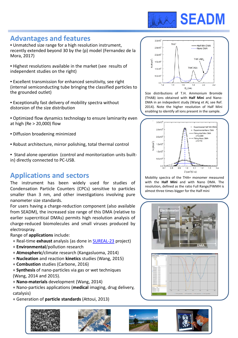

#### **Advantages and features**

• Unmatched size range for a high resolution instrument, recently extended beyond 30 by the (p) model (Fernandez de la Mora, 2017)

• Highest resolutions available in the market (see results of independent studies on the right)

• Excellent transmission for enhanced sensitivity, see right (internal semiconducting tube bringing the classified particles to the grounded outlet)

- Exceptionally fast delivery of mobility spectra without distorsion of the size distribution
- Optimized flow dynamics technology to ensure laminarity even at high (Re > 20,000) flow
- Diffusion broadening minimized
- Robust architecture, mirror polishing, total thermal control
- Stand alone operation (control and monitorization units builtin) directly connected to PC-USB.

#### **Applications and sectors**

The instrument has been widely used for studies of Condensation Particle Counters (CPCs) sensitive to particles smaller than 3 nm, and other investigations involving pure nanometer size standards.

For users having a charge-reduction component (also available from SEADM), the increased size range of this DMA (relative to earlier supercritical DMAs) permits high resolution analysis of charge-reduced biomolecules and small viruses produced by electrospray.

Range of **applications** include:

- + Real-time **exhaust** analysis (as done in [SUREAL-23](http://sureal-23.cperi.certh.gr/) project)
- + **Environmental**/pollution research
- + **Atmospheric**/climate research (Kangasluoma, 2014)
- + **Nucleation** and reaction **kinetics** studies (Wang, 2015)
- + **Combustion** studies (Carbone, 2016)

+ **Synthesis** of nano-particles via gas or wet techniques (Wang, 2014 and 2015).

+ **Nano-materials** development (Wang, 2014)

+ Nano-particles applications (**medical** imaging, drug delivery, catalysis)

+ Generation of **particle standards** (Attoui, 2013)







Size distributions of T.H. Ammonium Bromide (THAB) ions obtained with **Half Mini** and Nano-DMA in an indepedent study (Wang et Al, see Ref. 2014). Note the higher resolution of Half Mini enabling to identify all ions present in the sample.



Mobility spectra of the THA+ monomer measured with the **Half Mini** and with Nano DMA. The resolution, defined as the ratio Full Range/FWMH is almost three times bigger for the Half mini